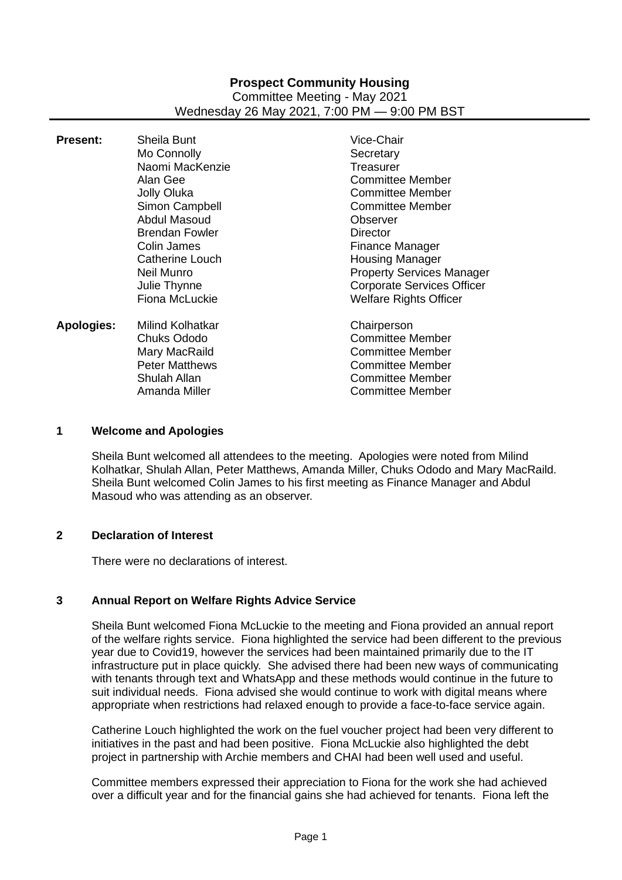## **Prospect Community Housing** Committee Meeting - May 2021 Wednesday 26 May 2021, 7:00 PM — 9:00 PM BST

| Sheila Bunt<br>Mo Connolly<br>Naomi MacKenzie<br>Alan Gee<br>Jolly Oluka<br>Simon Campbell<br>Abdul Masoud<br><b>Brendan Fowler</b><br>Colin James<br>Catherine Louch<br>Neil Munro<br>Julie Thynne | Vice-Chair<br>Secretary<br>Treasurer<br><b>Committee Member</b><br><b>Committee Member</b><br><b>Committee Member</b><br>Observer<br>Director<br>Finance Manager<br><b>Housing Manager</b><br><b>Property Services Manager</b><br><b>Corporate Services Officer</b> |
|-----------------------------------------------------------------------------------------------------------------------------------------------------------------------------------------------------|---------------------------------------------------------------------------------------------------------------------------------------------------------------------------------------------------------------------------------------------------------------------|
| Milind Kolhatkar<br><b>Chuks Ododo</b><br>Mary MacRaild<br><b>Peter Matthews</b><br>Shulah Allan                                                                                                    | <b>Welfare Rights Officer</b><br>Chairperson<br><b>Committee Member</b><br><b>Committee Member</b><br><b>Committee Member</b><br><b>Committee Member</b><br><b>Committee Member</b>                                                                                 |
|                                                                                                                                                                                                     | Fiona McLuckie<br>Amanda Miller                                                                                                                                                                                                                                     |

### **1 Welcome and Apologies**

Sheila Bunt welcomed all attendees to the meeting. Apologies were noted from Milind Kolhatkar, Shulah Allan, Peter Matthews, Amanda Miller, Chuks Ododo and Mary MacRaild. Sheila Bunt welcomed Colin James to his first meeting as Finance Manager and Abdul Masoud who was attending as an observer.

## **2 Declaration of Interest**

There were no declarations of interest.

## **3 Annual Report on Welfare Rights Advice Service**

Sheila Bunt welcomed Fiona McLuckie to the meeting and Fiona provided an annual report of the welfare rights service. Fiona highlighted the service had been different to the previous year due to Covid19, however the services had been maintained primarily due to the IT infrastructure put in place quickly. She advised there had been new ways of communicating with tenants through text and WhatsApp and these methods would continue in the future to suit individual needs. Fiona advised she would continue to work with digital means where appropriate when restrictions had relaxed enough to provide a face-to-face service again.

Catherine Louch highlighted the work on the fuel voucher project had been very different to initiatives in the past and had been positive. Fiona McLuckie also highlighted the debt project in partnership with Archie members and CHAI had been well used and useful.

Committee members expressed their appreciation to Fiona for the work she had achieved over a difficult year and for the financial gains she had achieved for tenants. Fiona left the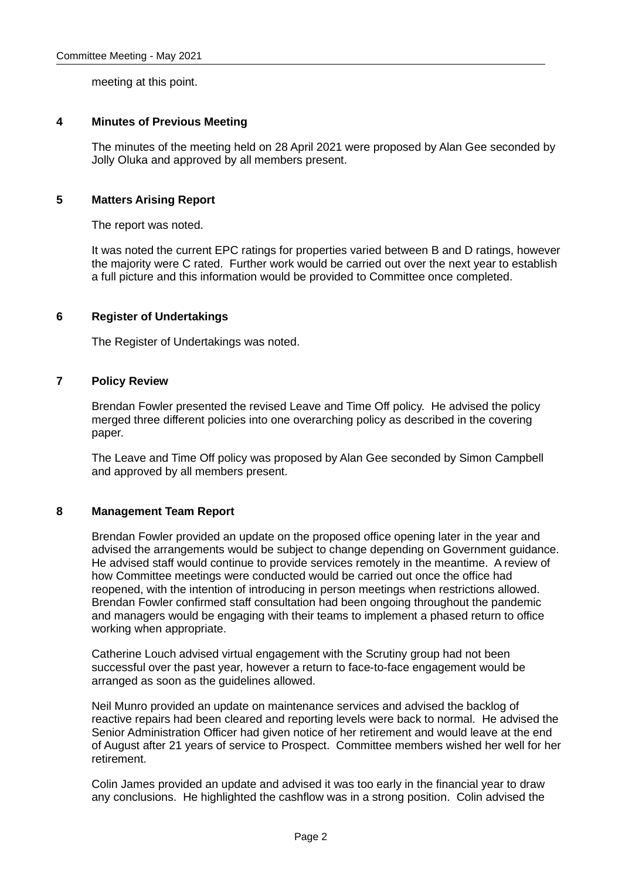meeting at this point.

### **4 Minutes of Previous Meeting**

The minutes of the meeting held on 28 April 2021 were proposed by Alan Gee seconded by Jolly Oluka and approved by all members present.

## **5 Matters Arising Report**

The report was noted.

It was noted the current EPC ratings for properties varied between B and D ratings, however the majority were C rated. Further work would be carried out over the next year to establish a full picture and this information would be provided to Committee once completed.

## **6 Register of Undertakings**

The Register of Undertakings was noted.

### **7 Policy Review**

Brendan Fowler presented the revised Leave and Time Off policy. He advised the policy merged three different policies into one overarching policy as described in the covering paper.

The Leave and Time Off policy was proposed by Alan Gee seconded by Simon Campbell and approved by all members present.

#### **8 Management Team Report**

Brendan Fowler provided an update on the proposed office opening later in the year and advised the arrangements would be subject to change depending on Government guidance. He advised staff would continue to provide services remotely in the meantime. A review of how Committee meetings were conducted would be carried out once the office had reopened, with the intention of introducing in person meetings when restrictions allowed. Brendan Fowler confirmed staff consultation had been ongoing throughout the pandemic and managers would be engaging with their teams to implement a phased return to office working when appropriate.

Catherine Louch advised virtual engagement with the Scrutiny group had not been successful over the past year, however a return to face-to-face engagement would be arranged as soon as the guidelines allowed.

Neil Munro provided an update on maintenance services and advised the backlog of reactive repairs had been cleared and reporting levels were back to normal. He advised the Senior Administration Officer had given notice of her retirement and would leave at the end of August after 21 years of service to Prospect. Committee members wished her well for her retirement.

Colin James provided an update and advised it was too early in the financial year to draw any conclusions. He highlighted the cashflow was in a strong position. Colin advised the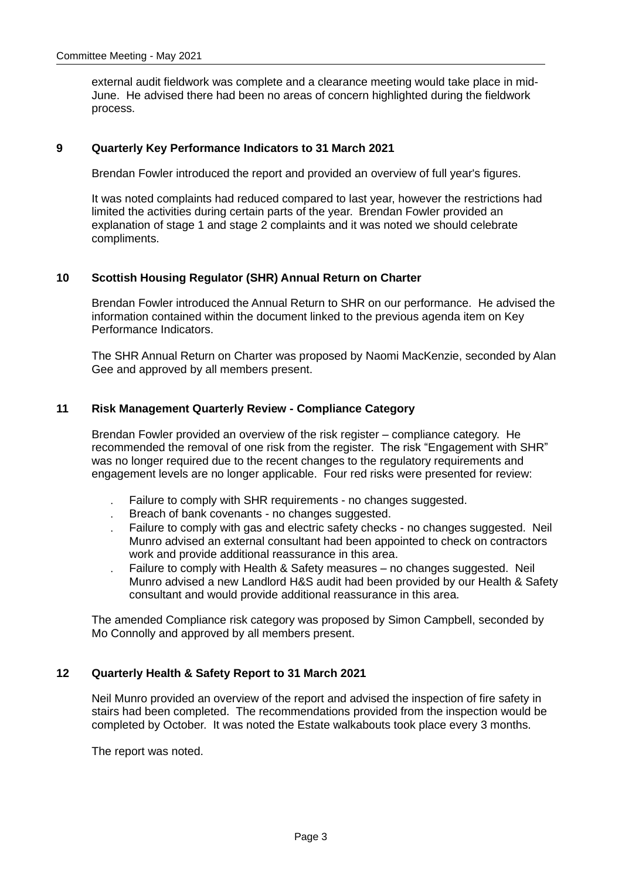external audit fieldwork was complete and a clearance meeting would take place in mid-June. He advised there had been no areas of concern highlighted during the fieldwork process.

#### **9 Quarterly Key Performance Indicators to 31 March 2021**

Brendan Fowler introduced the report and provided an overview of full year's figures.

It was noted complaints had reduced compared to last year, however the restrictions had limited the activities during certain parts of the year. Brendan Fowler provided an explanation of stage 1 and stage 2 complaints and it was noted we should celebrate compliments.

#### **10 Scottish Housing Regulator (SHR) Annual Return on Charter**

Brendan Fowler introduced the Annual Return to SHR on our performance. He advised the information contained within the document linked to the previous agenda item on Key Performance Indicators.

The SHR Annual Return on Charter was proposed by Naomi MacKenzie, seconded by Alan Gee and approved by all members present.

### **11 Risk Management Quarterly Review - Compliance Category**

Brendan Fowler provided an overview of the risk register – compliance category. He recommended the removal of one risk from the register. The risk "Engagement with SHR" was no longer required due to the recent changes to the regulatory requirements and engagement levels are no longer applicable. Four red risks were presented for review:

- Failure to comply with SHR requirements no changes suggested.
- Breach of bank covenants no changes suggested.
- Failure to comply with gas and electric safety checks no changes suggested. Neil Munro advised an external consultant had been appointed to check on contractors work and provide additional reassurance in this area.
- Failure to comply with Health & Safety measures no changes suggested. Neil Munro advised a new Landlord H&S audit had been provided by our Health & Safety consultant and would provide additional reassurance in this area.

The amended Compliance risk category was proposed by Simon Campbell, seconded by Mo Connolly and approved by all members present.

#### **12 Quarterly Health & Safety Report to 31 March 2021**

Neil Munro provided an overview of the report and advised the inspection of fire safety in stairs had been completed. The recommendations provided from the inspection would be completed by October. It was noted the Estate walkabouts took place every 3 months.

The report was noted.